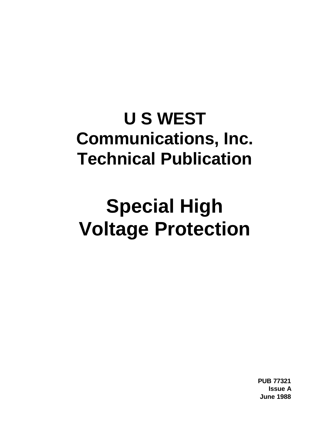## **U S WEST Communications, Inc. Technical Publication**

# **Special High Voltage Protection**

**PUB 77321 Issue A June 1988**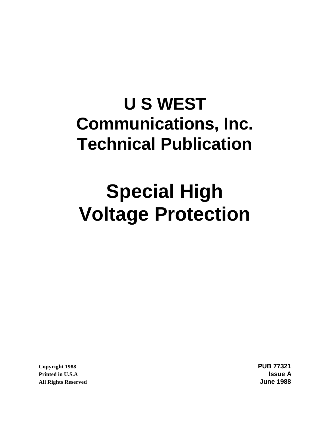## **U S WEST Communications, Inc. Technical Publication**

# **Special High Voltage Protection**

**Copyright 1988 PUB 77321 Printed in U.S.A Issue A All Rights Reserved June 1988**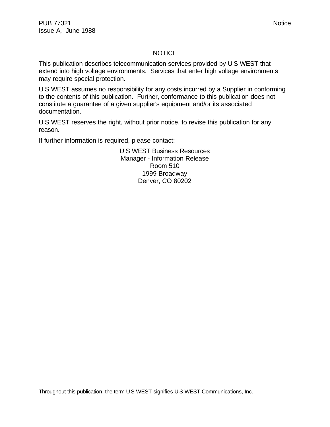#### **NOTICE**

This publication describes telecommunication services provided by U S WEST that extend into high voltage environments. Services that enter high voltage environments may require special protection.

U S WEST assumes no responsibility for any costs incurred by a Supplier in conforming to the contents of this publication. Further, conformance to this publication does not constitute a guarantee of a given supplier's equipment and/or its associated documentation.

U S WEST reserves the right, without prior notice, to revise this publication for any reason.

If further information is required, please contact:

U S WEST Business Resources Manager - Information Release Room 510 1999 Broadway Denver, CO 80202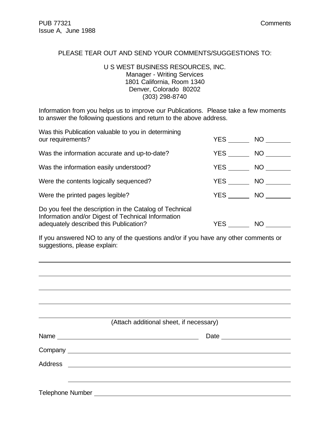$\overline{a}$ 

#### PLEASE TEAR OUT AND SEND YOUR COMMENTS/SUGGESTIONS TO:

#### U S WEST BUSINESS RESOURCES, INC. Manager - Writing Services 1801 California, Room 1340 Denver, Colorado 80202 (303) 298-8740

Information from you helps us to improve our Publications. Please take a few moments to answer the following questions and return to the above address.

| Was this Publication valuable to you in determining<br>our requirements?                                                                                | YES        | NO D         |
|---------------------------------------------------------------------------------------------------------------------------------------------------------|------------|--------------|
| Was the information accurate and up-to-date?                                                                                                            | YES        | NO <b>NO</b> |
| Was the information easily understood?                                                                                                                  | <b>YES</b> | NO           |
| Were the contents logically sequenced?                                                                                                                  | YES        | NO           |
| Were the printed pages legible?                                                                                                                         | <b>YES</b> | NO.          |
| Do you feel the description in the Catalog of Technical<br>Information and/or Digest of Technical Information<br>adequately described this Publication? | YES        | NO           |

If you answered NO to any of the questions and/or if you have any other comments or suggestions, please explain:

|                  |                                                                                                                                                                                                                                | (Attach additional sheet, if necessary) |  |
|------------------|--------------------------------------------------------------------------------------------------------------------------------------------------------------------------------------------------------------------------------|-----------------------------------------|--|
|                  | Name experience and the second contract of the second second contract of the second second contract of the second second second second second second second second second second second second second second second second sec |                                         |  |
|                  |                                                                                                                                                                                                                                |                                         |  |
|                  |                                                                                                                                                                                                                                |                                         |  |
|                  |                                                                                                                                                                                                                                |                                         |  |
| Telephone Number |                                                                                                                                                                                                                                |                                         |  |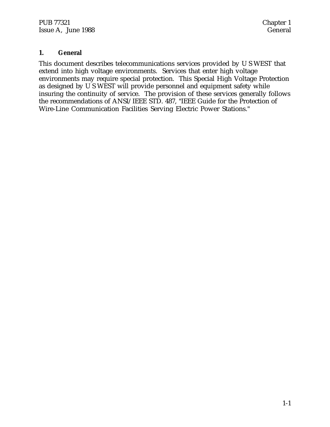#### **1. General**

This document describes telecommunications services provided by U S WEST that extend into high voltage environments. Services that enter high voltage environments may require special protection. This Special High Voltage Protection as designed by U S WEST will provide personnel and equipment safety while insuring the continuity of service. The provision of these services generally follows the recommendations of ANSI/IEEE STD. 487, "IEEE Guide for the Protection of Wire-Line Communication Facilities Serving Electric Power Stations."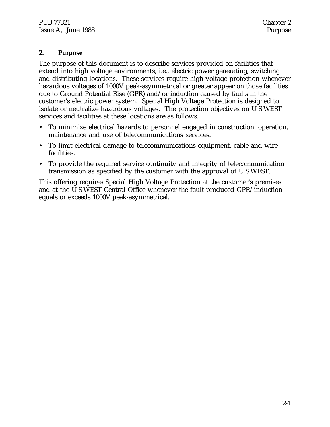#### **2. Purpose**

The purpose of this document is to describe services provided on facilities that extend into high voltage environments, i.e., electric power generating, switching and distributing locations. These services require high voltage protection whenever hazardous voltages of 1000V peak-asymmetrical or greater appear on those facilities due to Ground Potential Rise (GPR) and/or induction caused by faults in the customer's electric power system. Special High Voltage Protection is designed to isolate or neutralize hazardous voltages. The protection objectives on U S WEST services and facilities at these locations are as follows:

- To minimize electrical hazards to personnel engaged in construction, operation, maintenance and use of telecommunications services.
- To limit electrical damage to telecommunications equipment, cable and wire facilities.
- To provide the required service continuity and integrity of telecommunication transmission as specified by the customer with the approval of U S WEST.

This offering requires Special High Voltage Protection at the customer's premises and at the U S WEST Central Office whenever the fault-produced GPR/induction equals or exceeds 1000V peak-asymmetrical.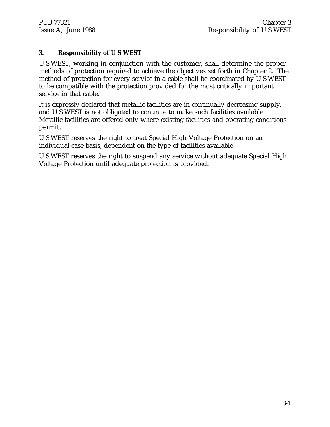#### **3. Responsibility of U S WEST**

U S WEST, working in conjunction with the customer, shall determine the proper methods of protection required to achieve the objectives set forth in Chapter 2. The method of protection for every service in a cable shall be coordinated by U S WEST to be compatible with the protection provided for the most critically important service in that cable.

It is expressly declared that metallic facilities are in continually decreasing supply, and U S WEST is not obligated to continue to make such facilities available. Metallic facilities are offered only where existing facilities and operating conditions permit.

U S WEST reserves the right to treat Special High Voltage Protection on an individual case basis, dependent on the type of facilities available.

U S WEST reserves the right to suspend any service without adequate Special High Voltage Protection until adequate protection is provided.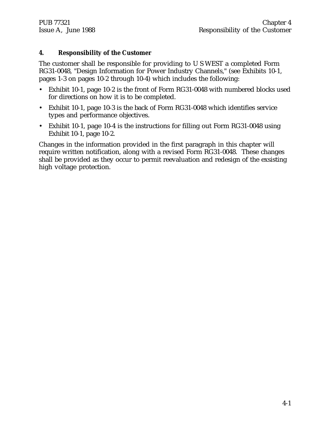#### **4. Responsibility of the Customer**

The customer shall be responsible for providing to U S WEST a completed Form RG31-0048, "Design Information for Power Industry Channels," (see Exhibits 10-1, pages 1-3 on pages 10-2 through 10-4) which includes the following:

- Exhibit 10-1, page 10-2 is the front of Form RG31-0048 with numbered blocks used for directions on how it is to be completed.
- Exhibit 10-1, page 10-3 is the back of Form RG31-0048 which identifies service types and performance objectives.
- Exhibit 10-1, page 10-4 is the instructions for filling out Form RG31-0048 using Exhibit 10-1, page 10-2.

Changes in the information provided in the first paragraph in this chapter will require written notification, along with a revised Form RG31-0048. These changes shall be provided as they occur to permit reevaluation and redesign of the exsisting high voltage protection.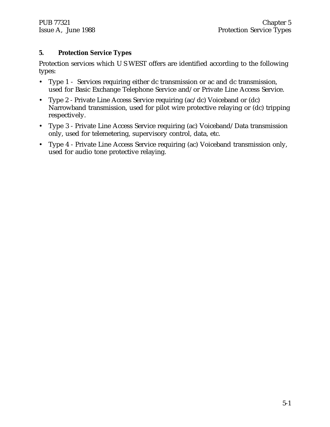#### **5. Protection Service Types**

Protection services which U S WEST offers are identified according to the following types:

- Type 1 Services requiring either dc transmission or ac and dc transmission, used for Basic Exchange Telephone Service and/or Private Line Access Service.
- Type 2 Private Line Access Service requiring (ac/dc) Voiceband or (dc) Narrowband transmission, used for pilot wire protective relaying or (dc) tripping respectively.
- Type 3 Private Line Access Service requiring (ac) Voiceband/Data transmission only, used for telemetering, supervisory control, data, etc.
- Type 4 Private Line Access Service requiring (ac) Voiceband transmission only, used for audio tone protective relaying.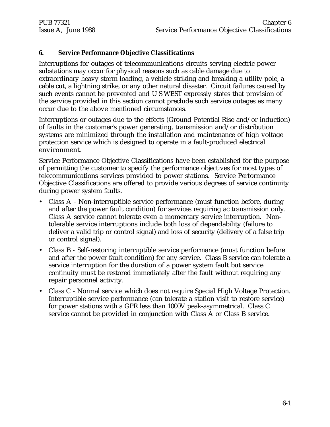#### **6. Service Performance Objective Classifications**

Interruptions for outages of telecommunications circuits serving electric power substations may occur for physical reasons such as cable damage due to extraordinary heavy storm loading, a vehicle striking and breaking a utility pole, a cable cut, a lightning strike, or any other natural disaster. Circuit failures caused by such events cannot be prevented and U S WEST expressly states that provision of the service provided in this section cannot preclude such service outages as many occur due to the above mentioned circumstances.

Interruptions or outages due to the effects (Ground Potential Rise and/or induction) of faults in the customer's power generating, transmission and/or distribution systems are minimized through the installation and maintenance of high voltage protection service which is designed to operate in a fault-produced electrical environment.

Service Performance Objective Classifications have been established for the purpose of permitting the customer to specify the performance objectives for most types of telecommunications services provided to power stations. Service Performance Objective Classifications are offered to provide various degrees of service continuity during power system faults.

- Class A Non-interruptible service performance (must function before, during and after the power fault condition) for services requiring ac transmission only. Class A service cannot tolerate even a momentary service interruption. Nontolerable service interruptions include both loss of dependability (failure to deliver a valid trip or control signal) and loss of security (delivery of a false trip or control signal).
- Class B Self-restoring interruptible service performance (must function before and after the power fault condition) for any service. Class B service can tolerate a service interruption for the duration of a power system fault but service continuity must be restored immediately after the fault without requiring any repair personnel activity.
- Class C Normal service which does not require Special High Voltage Protection. Interruptible service performance (can tolerate a station visit to restore service) for power stations with a GPR less than 1000V peak-asymmetrical. Class C service cannot be provided in conjunction with Class A or Class B service.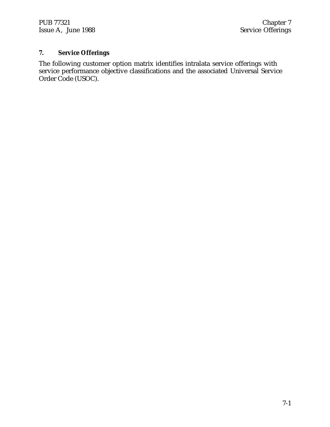PUB 77321 Chapter 7<br>
Issue A, June 1988 Chapter 7 Issue A, June 1988

### **7. Service Offerings**

The following customer option matrix identifies intralata service offerings with service performance objective classifications and the associated Universal Service Order Code (USOC).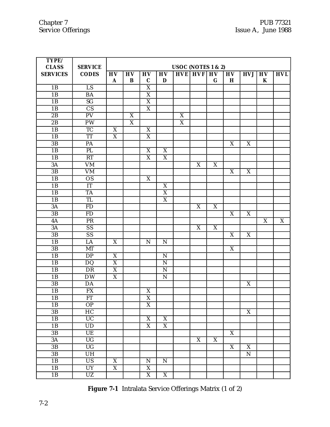| TYPE/           |                        |                           |                       |                           |                         |                    |                           |                  |                          |                           |                      |                         |
|-----------------|------------------------|---------------------------|-----------------------|---------------------------|-------------------------|--------------------|---------------------------|------------------|--------------------------|---------------------------|----------------------|-------------------------|
| <b>CLASS</b>    | <b>SERVICE</b>         |                           |                       |                           |                         | USOC (NOTES 1 & 2) |                           |                  |                          |                           |                      |                         |
| <b>SERVICES</b> | <b>CODES</b>           | HV<br>$\mathbf{A}$        | <b>HV</b><br>$\bf{B}$ | <b>HV</b><br>$\mathbf C$  | H <sub>V</sub><br>D     |                    | <b>HVE HVF HV</b>         | $\bf G$          | <b>HV</b><br>$\mathbf H$ | <b>HVJ</b>                | <b>HV</b><br>$\bf K$ | <b>HVL</b>              |
| 1B              | $\overline{LS}$        |                           |                       | X                         |                         |                    |                           |                  |                          |                           |                      |                         |
| 1B              | $\overline{BA}$        |                           |                       | $\overline{\text{X}}$     |                         |                    |                           |                  |                          |                           |                      |                         |
| 1B              | SG                     |                           |                       | $\overline{X}$            |                         |                    |                           |                  |                          |                           |                      |                         |
| 1B              | $\overline{\text{CS}}$ |                           |                       | X                         |                         |                    |                           |                  |                          |                           |                      |                         |
| 2B              | $\overline{PV}$        |                           | X                     |                           |                         | $\overline{X}$     |                           |                  |                          |                           |                      |                         |
| 2B              | $\overline{PW}$        |                           | $\overline{X}$        |                           |                         | X                  |                           |                  |                          |                           |                      |                         |
| 1B              | $\overline{TC}$        | $\mathbf X$               |                       | X                         |                         |                    |                           |                  |                          |                           |                      |                         |
| 1B              | $\overline{\text{TT}}$ | $\overline{X}$            |                       | $\overline{\text{X}}$     |                         |                    |                           |                  |                          |                           |                      |                         |
| 3B              | PA                     |                           |                       |                           |                         |                    |                           |                  | X                        | X                         |                      |                         |
| 1B              | PL                     |                           |                       | X                         | X                       |                    |                           |                  |                          |                           |                      |                         |
| 1B              | RT                     |                           |                       | $\overline{X}$            | $\overline{\mathbf{X}}$ |                    |                           |                  |                          |                           |                      |                         |
| $3\overline{A}$ | $\overline{\text{VM}}$ |                           |                       |                           |                         |                    | X                         | X                |                          |                           |                      |                         |
| $\overline{3B}$ | $\overline{\text{VM}}$ |                           |                       |                           |                         |                    |                           |                  | X                        | $\boldsymbol{X}$          |                      |                         |
| 1B              | $\overline{OS}$        |                           |                       | $\overline{\mathbf{X}}$   |                         |                    |                           |                  |                          |                           |                      |                         |
| 1B              | IT                     |                           |                       |                           | X                       |                    |                           |                  |                          |                           |                      |                         |
| 1B              | <b>TA</b>              |                           |                       |                           | $\overline{X}$          |                    |                           |                  |                          |                           |                      |                         |
| 1B              | TL                     |                           |                       |                           | $\overline{\mathbf{X}}$ |                    |                           |                  |                          |                           |                      |                         |
| $3\overline{A}$ | <b>FD</b>              |                           |                       |                           |                         |                    | $\boldsymbol{\mathrm{X}}$ | $\boldsymbol{X}$ |                          |                           |                      |                         |
| 3B              | <b>FD</b>              |                           |                       |                           |                         |                    |                           |                  | X                        | X                         |                      |                         |
| 4A              | PR                     |                           |                       |                           |                         |                    |                           |                  |                          |                           | X                    | $\overline{\mathbf{X}}$ |
| 3A              | $\overline{SS}$        |                           |                       |                           |                         |                    | X                         | X                |                          |                           |                      |                         |
| 3B              | $\overline{SS}$        |                           |                       |                           |                         |                    |                           |                  | X                        | X                         |                      |                         |
| 1B              | LA                     | X                         |                       | $\mathbf N$               | $\mathbf N$             |                    |                           |                  |                          |                           |                      |                         |
| 3B              | MT                     |                           |                       |                           |                         |                    |                           |                  | X                        |                           |                      |                         |
| 1B              | DP                     | $\overline{X}$            |                       |                           | ${\bf N}$               |                    |                           |                  |                          |                           |                      |                         |
| 1B              | $\overline{DQ}$        | $\overline{X}$            |                       |                           | $\overline{\mathbf{N}}$ |                    |                           |                  |                          |                           |                      |                         |
| 1B              | DR                     | $\boldsymbol{\mathrm{X}}$ |                       |                           | $\mathbf N$             |                    |                           |                  |                          |                           |                      |                         |
| 1B              | $\overline{DW}$        | $\boldsymbol{\mathrm{X}}$ |                       |                           | ${\bf N}$               |                    |                           |                  |                          |                           |                      |                         |
| 3B              | $\overline{DA}$        |                           |                       |                           |                         |                    |                           |                  |                          | $\overline{X}$            |                      |                         |
| 1B              | <b>FX</b>              |                           |                       | $\boldsymbol{\mathrm{X}}$ |                         |                    |                           |                  |                          |                           |                      |                         |
| 1B              | $\overline{FT}$        |                           |                       | $\overline{\text{X}}$     |                         |                    |                           |                  |                          |                           |                      |                         |
| 1B              | OP                     |                           |                       | $\overline{X}$            |                         |                    |                           |                  |                          |                           |                      |                         |
| $3\,\mathrm{B}$ | HC                     |                           |                       |                           |                         |                    |                           |                  |                          | $\boldsymbol{\mathrm{X}}$ |                      |                         |
| 1B              | $\overline{UC}$        |                           |                       | $\boldsymbol{X}$          | X                       |                    |                           |                  |                          |                           |                      |                         |
| 1B              | $\overline{UD}$        |                           |                       | $\overline{X}$            | $\overline{\mathbf{X}}$ |                    |                           |                  |                          |                           |                      |                         |
| 3B              | UE                     |                           |                       |                           |                         |                    |                           |                  | $\overline{X}$           |                           |                      |                         |
| 3A              | $\overline{UG}$        |                           |                       |                           |                         |                    | $\overline{\mathbf{X}}$   | $\overline{X}$   |                          |                           |                      |                         |
| 3B              | $\overline{UG}$        |                           |                       |                           |                         |                    |                           |                  | $\overline{\mathbf{X}}$  | $\overline{X}$            |                      |                         |
| $3\,\mathrm{B}$ | UH                     |                           |                       |                           |                         |                    |                           |                  |                          | ${\bf N}$                 |                      |                         |
| 1B              | $\overline{US}$        | $\mathbf X$               |                       | ${\bf N}$                 | ${\bf N}$               |                    |                           |                  |                          |                           |                      |                         |
| 1B              | <b>UY</b>              | $\overline{X}$            |                       | $\overline{X}$            |                         |                    |                           |                  |                          |                           |                      |                         |
| 1B              | $\overline{UZ}$        |                           |                       | $\overline{X}$            | $\overline{X}$          |                    |                           |                  |                          |                           |                      |                         |

**Figure 7-1** Intralata Service Offerings Matrix (1 of 2)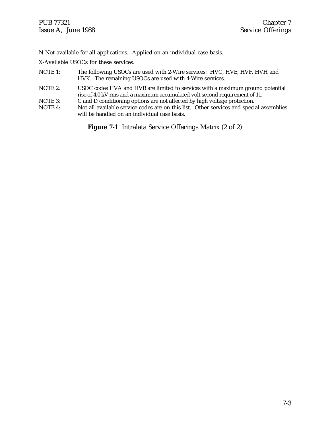N-Not available for all applications. Applied on an individual case basis.

X-Available USOCs for these services.

- NOTE 1: The following USOCs are used with 2-Wire services: HVC, HVE, HVF, HVH and HVK. The remaining USOCs are used with 4-Wire services.
- NOTE 2: USOC codes HVA and HVB are limited to services with a maximum ground potential rise of 4.0 kV rms and a maximum accumulated volt second requirement of 11.
- NOTE 3: C and D conditioning options are not affected by high voltage protection.<br>NOTE 4: Not all available service codes are on this list. Other services and special
- Not all available service codes are on this list. Other services and special assemblies will be handled on an individual case basis.

**Figure 7-1** Intralata Service Offerings Matrix (2 of 2)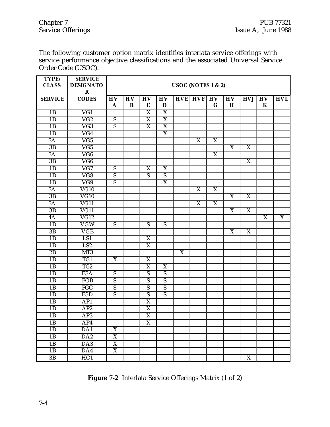The following customer option matrix identifies interlata service offerings with service performance objective classifications and the associated Universal Service Order Code (USOC).

| TYPE/<br><b>CLASS</b> | <b>SERVICE</b><br><b>DESIGNATO</b> | USOC (NOTES 1 & 2)        |                 |                           |                       |   |                           |                |                         |                         |                         |                         |
|-----------------------|------------------------------------|---------------------------|-----------------|---------------------------|-----------------------|---|---------------------------|----------------|-------------------------|-------------------------|-------------------------|-------------------------|
|                       | ${\bf R}$                          |                           |                 |                           |                       |   |                           |                |                         |                         |                         |                         |
| <b>SERVICE</b>        | <b>CODES</b>                       | <b>HV</b>                 | $\overline{HV}$ | <b>HV</b>                 | <b>HV</b>             |   | $HVE$ $HVF$ $HV$          |                | H <sub>V</sub>          | <b>HVJ</b>              | H <sub>V</sub>          | <b>HVL</b>              |
|                       |                                    | A                         | B               | $\mathbf C$               | D                     |   |                           | $\mathbf G$    | H                       |                         | K                       |                         |
| 1B                    | $\overline{VG1}$                   |                           |                 | $\overline{\mathbf{X}}$   | $\overline{X}$        |   |                           |                |                         |                         |                         |                         |
| 1B                    | $\overline{VG2}$                   | ${\bf S}$                 |                 | $\boldsymbol{X}$          | $\overline{X}$        |   |                           |                |                         |                         |                         |                         |
| 1B                    | $\overline{\text{VG3}}$            | $\overline{S}$            |                 | $\overline{\mathbf{X}}$   | $\overline{X}$        |   |                           |                |                         |                         |                         |                         |
| 1B                    | $\overline{VG4}$                   |                           |                 |                           | $\overline{\text{X}}$ |   |                           |                |                         |                         |                         |                         |
| 3A                    | $\overline{VG5}$                   |                           |                 |                           |                       |   | $\boldsymbol{\mathrm{X}}$ | X              |                         |                         |                         |                         |
| 3B                    | $\overline{VG5}$                   |                           |                 |                           |                       |   |                           |                | X                       | X                       |                         |                         |
| 3A                    | $\overline{\text{VG6}}$            |                           |                 |                           |                       |   |                           | $\overline{X}$ |                         |                         |                         |                         |
| $\overline{3B}$       | $\overline{\text{VG6}}$            |                           |                 |                           |                       |   |                           |                |                         | $\overline{X}$          |                         |                         |
| 1B                    | $\overline{VG7}$                   | ${\bf S}$                 |                 | $\boldsymbol{X}$          | $\mathbf X$           |   |                           |                |                         |                         |                         |                         |
| 1B                    | $\overline{\text{VG8}}$            | $\overline{s}$            |                 | $\overline{s}$            | $\overline{s}$        |   |                           |                |                         |                         |                         |                         |
| 1B                    | $\overline{VG9}$                   | ${\bf S}$                 |                 |                           | $\mathbf X$           |   |                           |                |                         |                         |                         |                         |
| 3A                    | $\overline{\text{VG}10}$           |                           |                 |                           |                       |   | $\boldsymbol{\mathrm{X}}$ | X              |                         |                         |                         |                         |
| 3B                    | $\overline{\text{VG}10}$           |                           |                 |                           |                       |   |                           |                | $\overline{\mathbf{X}}$ | $\overline{\mathbf{X}}$ |                         |                         |
| 3A                    | $\overline{VG11}$                  |                           |                 |                           |                       |   | $\boldsymbol{\mathrm{X}}$ | X              |                         |                         |                         |                         |
| 3B                    | $\overline{\text{VG}11}$           |                           |                 |                           |                       |   |                           |                | X                       | $\boldsymbol{X}$        |                         |                         |
| 4A                    | $\overline{\text{VG12}}$           |                           |                 |                           |                       |   |                           |                |                         |                         | $\overline{\mathbf{X}}$ | $\overline{\mathbf{X}}$ |
| 1B                    | $\overline{\text{VGW}}$            | S                         |                 | ${\bf S}$                 | ${\bf S}$             |   |                           |                |                         |                         |                         |                         |
| 3B                    | $\overline{\text{VGB}}$            |                           |                 |                           |                       |   |                           |                | X                       | X                       |                         |                         |
| 1B                    | LS1                                |                           |                 | $\overline{\mathbf{X}}$   |                       |   |                           |                |                         |                         |                         |                         |
| 1B                    | LS2                                |                           |                 | $\overline{X}$            |                       |   |                           |                |                         |                         |                         |                         |
| 2B                    | MT3                                |                           |                 |                           |                       | X |                           |                |                         |                         |                         |                         |
| 1B                    | TG1                                | $\overline{\mathbf{X}}$   |                 | $\overline{\mathbf{X}}$   |                       |   |                           |                |                         |                         |                         |                         |
| 1B                    | TG <sub>2</sub>                    |                           |                 | $\boldsymbol{\mathrm{X}}$ | $\mathbf X$           |   |                           |                |                         |                         |                         |                         |
| 1B                    | <b>FGA</b>                         | ${\bf S}$                 |                 | ${\bf S}$                 | $\overline{S}$        |   |                           |                |                         |                         |                         |                         |
| 1B                    | FGB                                | $\overline{S}$            |                 | $\overline{S}$            | $\overline{s}$        |   |                           |                |                         |                         |                         |                         |
| 1B                    | FGC                                | $\overline{S}$            |                 | $\overline{S}$            | $\overline{S}$        |   |                           |                |                         |                         |                         |                         |
| 1B                    | $\overline{\text{FGD}}$            | $\overline{S}$            |                 | $\overline{S}$            | $\overline{S}$        |   |                           |                |                         |                         |                         |                         |
| 1B                    | AP1                                |                           |                 | $\overline{X}$            |                       |   |                           |                |                         |                         |                         |                         |
| 1B                    | AP <sub>2</sub>                    |                           |                 | $\boldsymbol{\mathrm{X}}$ |                       |   |                           |                |                         |                         |                         |                         |
| 1B                    | AP3                                |                           |                 | $\overline{\mathbf{X}}$   |                       |   |                           |                |                         |                         |                         |                         |
| 1B                    | AP4                                |                           |                 | $\overline{\mathbf{X}}$   |                       |   |                           |                |                         |                         |                         |                         |
| 1B                    | DA1                                | $\overline{X}$            |                 |                           |                       |   |                           |                |                         |                         |                         |                         |
| 1B                    | $\overline{DA2}$                   | $\overline{X}$            |                 |                           |                       |   |                           |                |                         |                         |                         |                         |
| 1B                    | DA3                                | $\overline{X}$            |                 |                           |                       |   |                           |                |                         |                         |                         |                         |
| 1B                    | $\overline{DA4}$                   | $\boldsymbol{\mathrm{X}}$ |                 |                           |                       |   |                           |                |                         |                         |                         |                         |
| $\overline{3B}$       | HC1                                |                           |                 |                           |                       |   |                           |                |                         | $\overline{X}$          |                         |                         |

**Figure 7-2** Interlata Service Offerings Matrix (1 of 2)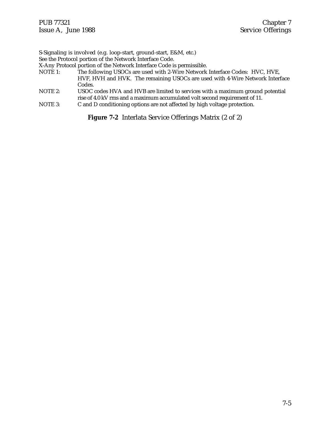S-Signaling is involved (e.g. loop-start, ground-start, E&M, etc.) See the Protocol portion of the Network Interface Code. X-Any Protocol portion of the Network Interface Code is permissible.<br>NOTE 1: The following USOCs are used with 2-Wire Network The following USOCs are used with 2-Wire Network Interface Codes: HVC, HVE, HVF, HVH and HVK. The remaining USOCs are used with 4-Wire Network Interface Codes. NOTE 2: USOC codes HVA and HVB are limited to services with a maximum ground potential

rise of 4.0 kV rms and a maximum accumulated volt second requirement of 11. NOTE 3: C and D conditioning options are not affected by high voltage protection.

**Figure 7-2** Interlata Service Offerings Matrix (2 of 2)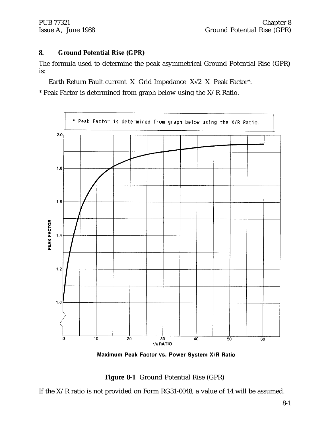#### **8. Ground Potential Rise (GPR)**

The formula used to determine the peak asymmetrical Ground Potential Rise (GPR) is:

Earth Return Fault current X Grid Impedance  $X\sqrt{2}$  X Peak Factor\*.

\* Peak Factor is determined from graph below using the  $X/R$  Ratio.



Maximum Peak Factor vs. Power System X/R Ratio

**Figure 8-1** Ground Potential Rise (GPR)

If the X/R ratio is not provided on Form RG31-0048, a value of 14 will be assumed.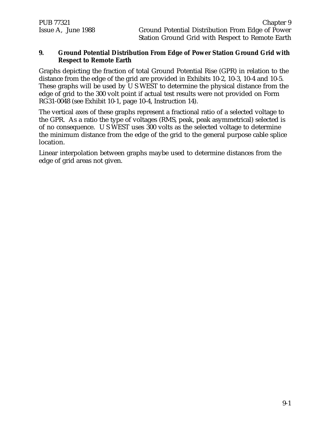#### **9. Ground Potential Distribution From Edge of Power Station Ground Grid with Respect to Remote Earth**

Graphs depicting the fraction of total Ground Potential Rise (GPR) in relation to the distance from the edge of the grid are provided in Exhibits 10-2, 10-3, 10-4 and 10-5. These graphs will be used by U S WEST to determine the physical distance from the edge of grid to the 300 volt point if actual test results were not provided on Form RG31-0048 (see Exhibit 10-1, page 10-4, Instruction 14).

The vertical axes of these graphs represent a fractional ratio of a selected voltage to the GPR. As a ratio the type of voltages (RMS, peak, peak asymmetrical) selected is of no consequence. U S WEST uses 300 volts as the selected voltage to determine the minimum distance from the edge of the grid to the general purpose cable splice location.

Linear interpolation between graphs maybe used to determine distances from the edge of grid areas not given.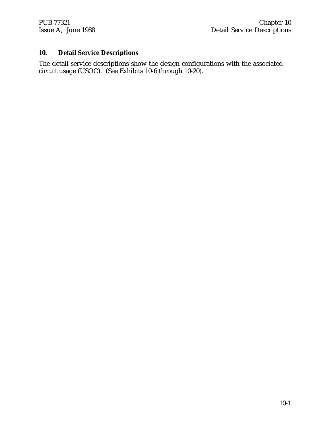#### **10. Detail Service Descriptions**

The detail service descriptions show the design configurations with the associated circuit usage (USOC). (See Exhibits 10-6 through 10-20).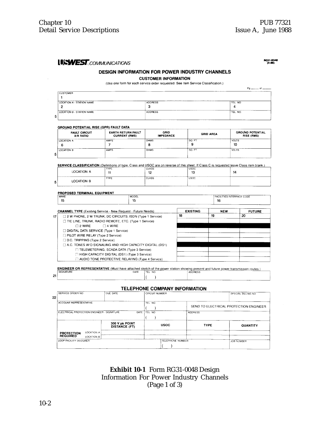#### **LISWEST** COMMUNICATIONS

RG31-0048<br>(4-86)

#### **DESIGN INFORMATION FOR POWER INDUSTRY CHANNELS**

**CUSTOMER INFORMATION** 

(Use one form for each service order requested. See item Service Classification.)

|                           |                | $PQ$ $\longrightarrow$ |
|---------------------------|----------------|------------------------|
| CUSTOMER                  |                |                        |
|                           |                |                        |
| LOCATION A - STATION NAME | <b>ADDRESS</b> | TEL NO.                |
|                           | v              |                        |
| LOCATION B - STATION NAME | <b>ADDRESS</b> | TEL. NO.               |
| 5                         |                |                        |

#### **GROUND POTENTIAL RISE (GPR) FAULT DATA**

|   | <b>FAULT CIRCUIT</b><br>X/R RATIO | <b>EARTH RETURN FAULT</b><br><b>CURRENT (RMS)</b> | GRID<br><b>IMPEDANCE</b> | <b>GRID AREA</b> | <b>GROUND POTENTIAL</b><br>RISE (RMS) |
|---|-----------------------------------|---------------------------------------------------|--------------------------|------------------|---------------------------------------|
|   | LOCATION A                        | AMPS                                              | OHMS                     | l SO. FT         | VOLTS                                 |
|   | c<br>o                            |                                                   |                          |                  | 10                                    |
|   | LOCATION B                        | AMPS                                              | OHMS                     | SQ. FT           | VOLTS                                 |
| 5 |                                   |                                                   |                          |                  |                                       |

SERVICE CLASSIFICATION (Definitions of type, Class and USOC are on reverse of this sheet. If Class C is requested leave Class item blank.)

|   | <b>LOCATION A</b><br>_______<br>---<br>------ | TYPE<br>. . | CLASS<br>$\ddot{\phantom{0}}$<br>⊷ | <b>USOC</b><br>13 | 14 |
|---|-----------------------------------------------|-------------|------------------------------------|-------------------|----|
| 5 | <b>LOCATION B</b>                             | TYPE        | <b>CLASS</b>                       | <b>USOC</b>       |    |

#### PROPOSED TERMINAL EQUIPMENT

|    | MAKE<br>15                                                          | MODEL<br>15 |                 | FACILITIES INTERFACE CODE<br>16 |               |
|----|---------------------------------------------------------------------|-------------|-----------------|---------------------------------|---------------|
|    | <b>CHANNEL TYPE</b> (Existing Service - New Request - Future Needs) |             | <b>EXISTING</b> | <b>NEW</b>                      | <b>FUTURE</b> |
| 17 | □ 2 W PHONE, 2 W TRUNK, DC CIRCUITS, ISDN (Type 1 Service)          |             | 18              | 19                              | 20            |
|    | T TIE LINE, TRUNK, RADIO REMOTE, ETC. (Type 1 Service)              |             |                 |                                 |               |
|    | $\Box$ 2 WIRE<br>$\Box$ 4 WIRE                                      |             |                 |                                 |               |
|    | DIGITAL DATA SERVICE (Type 1 Service)                               |             |                 |                                 |               |
|    | PILOT WIRE RELAY (Type 2 Service)                                   |             |                 |                                 |               |
|    | $\Box$ D.C. TRIPPING (Type 2 Service)                               |             |                 |                                 |               |
|    | $\Box$ A.C. TONES W/O SIGNALING AND HIGH CAPACITY DIGITAL (DS1).    |             |                 |                                 |               |
|    | TELEMETERING, SCADA DATA (Type 3 Service)                           |             |                 |                                 |               |
|    | HIGH CAPACITY DIGITAL (DS1) (Type 3 Service)                        |             |                 |                                 |               |
|    | $\Box$ AUDIO TONE PROTECTIVE RELAYING (Type 4 Service)              |             |                 |                                 |               |

**ENGINEER OR REPRESENTATIVE** (Must have attached sketch of the power station showing present and future power transmission routes.)<br>
SIGNATURE TEL NO. ADDRESS  $($  )

#### TELEPHONE COMPANY INFORMATION

| SERVICE ORDER NO.<br>22                    |                          | DUE DATE                               | <b>CIRCUIT NUMBER</b> |                | SPECIAL BILLING NO                     |
|--------------------------------------------|--------------------------|----------------------------------------|-----------------------|----------------|----------------------------------------|
| ACCOUNT REPRESENTATIVE                     |                          |                                        | TEL. NO.              |                | SEND TO ELECTRICAL PROTECTION ENGINEER |
| ELECTRICAL PROTECTION ENGINEER - SIGNATURE |                          | DATE                                   | TEL. NO.              | <b>ADDRESS</b> |                                        |
|                                            |                          | 300 V pk POINT<br><b>DISTANCE (FT)</b> | <b>USOC</b>           | <b>TYPE</b>    | <b>QUANTITY</b>                        |
| <b>PROTECTION</b><br><b>REQUIRED</b>       | LOCATION A<br>LOCATION B |                                        |                       |                |                                        |
| LOOP FACILITY DESIGNER                     |                          |                                        | TELEPHONE NUMBER      |                | JOB NUMBER                             |

**Exhibit 10-1** Form RG31-0048 Design Information For Power Industry Channels (Page 1 of 3)

21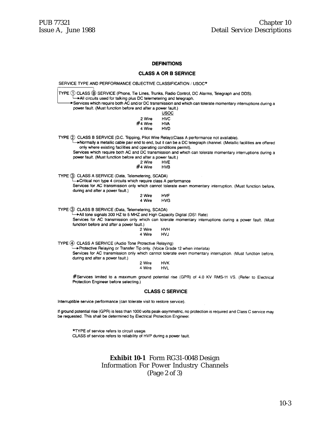#### **DEFINITIONS**

#### **CLASS A OR B SERVICE**

SERVICE TYPE AND PERFORMANCE OBJECTIVE CLASSIFICATION / USOC\* TYPE 1 CLASS ® SERVICE (Phone, Tie Lines, Trunks, Radio Control, DC Alarms, Telegraph and DDS). All circuits used for talking plus DC telemetering and telegraph. Services which require both AC and/or DC transmission and which can tolerate momentary interruptions during a power fault. (Must function before and after a power fault.) **USOC** 2 Wire **HVC** #4 Wire **HVA** 4 Wire HVD TYPE 2 CLASS B SERVICE (D.C. Tripping, Pilot Wire Relay) (Class A performance not available). >Normally a metallic cable pair end to end, but it can be a DC telegraph channel. (Metallic facilities are offered only where existing facilities and operating conditions permit). Services which require both AC and DC transmission and which can tolerate momentary interruptions during a power fault. (Must function before and after a power fault.) 2 Wire **HVE** #4 Wire **HVB** TYPE 3 CLASS A SERVICE (Data, Telemetering, SCADA) Critical non type 4 circuits which require class A performance Services for AC transmission only which cannot tolerate even momentary interruption. (Must function before, during and after a power fault.) 2 Wire **HVF** 4 Wire **HVG** TYPE 3 CLASS B SERVICE (Data, Telemetering, SCADA) All tone signals 300 HZ to 5 MHZ and High Capacity Digital (DS1 Rate) Services for AC transmission only which can tolerate momentary interruptions during a power fault. (Must function before and after a power fault.) 2 Wire **HVH** 4 Wire **HVJ** TYPE 4 CLASS A SERVICE (Audio Tone Protective Relaying) >Protective Relaying or Transfer Tip only. (Voice Grade 12 when interlata) Services for AC transmission only which cannot tolerate even momentary interruption. (Must function before, during and after a power fault.) 2 Wire **HVK** 4 Wire **HVL** #Services limited to a maximum ground potential rise (GPR) of 4.0 KV RMS-11 VS. (Refer to Electrical Protection Engineer before selecting.) **CLASS C SERVICE** Interruptible service performance (can tolerate visit to restore service). If ground potential rise (GPR) is less than 1000 volts peak-asymmetric, no protection is required and Class C service may be requested. This shall be determined by Electrical Protection Engineer.

\*TYPE of service refers to circuit usage. CLASS of service refers to reliability of HVP during a power fault.

#### **Exhibit 10-1** Form RG31-0048 Design Information For Power Industry Channels (Page 2 of 3)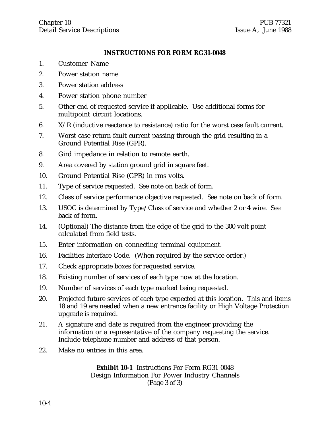#### **INSTRUCTIONS FOR FORM RG31-0048**

- 1. Customer Name
- 2. Power station name
- 3. Power station address
- 4. Power station phone number
- 5. Other end of requested service if applicable. Use additional forms for multipoint circuit locations.
- 6.  $X/R$  (inductive reactance to resistance) ratio for the worst case fault current.
- 7. Worst case return fault current passing through the grid resulting in a Ground Potential Rise (GPR).
- 8. Gird impedance in relation to remote earth.
- 9. Area covered by station ground grid in square feet.
- 10. Ground Potential Rise (GPR) in rms volts.
- 11. Type of service requested. See note on back of form.
- 12. Class of service performance objective requested. See note on back of form.
- 13. USOC is determined by Type/Class of service and whether 2 or 4 wire. See back of form.
- 14. (Optional) The distance from the edge of the grid to the 300 volt point calculated from field tests.
- 15. Enter information on connecting terminal equipment.
- 16. Facilities Interface Code. (When required by the service order.)
- 17. Check appropriate boxes for requested service.
- 18. Existing number of services of each type now at the location.
- 19. Number of services of each type marked being requested.
- 20. Projected future services of each type expected at this location. This and items 18 and 19 are needed when a new entrance facility or High Voltage Protection upgrade is required.
- 21. A signature and date is required from the engineer providing the information or a representative of the company requesting the service. Include telephone number and address of that person.
- 22. Make no entries in this area.

**Exhibit 10-1** Instructions For Form RG31-0048 Design Information For Power Industry Channels (Page 3 of 3)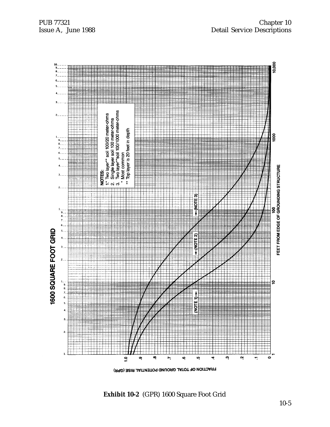

**Exhibit 10-2** (GPR) 1600 Square Foot Grid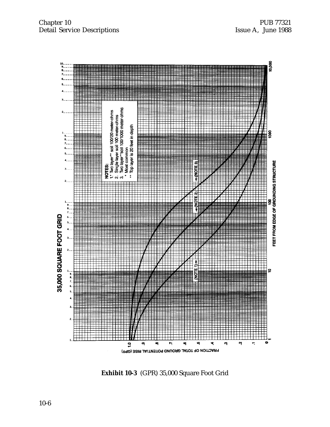

**Exhibit 10-3** (GPR) 35,000 Square Foot Grid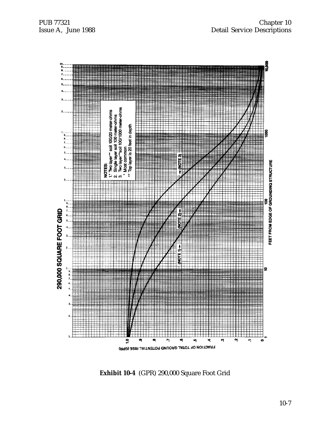

**Exhibit 10-4** (GPR) 290,000 Square Foot Grid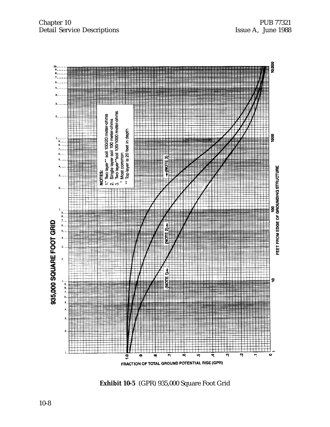

**Exhibit 10-5** (GPR) 935,000 Square Foot Grid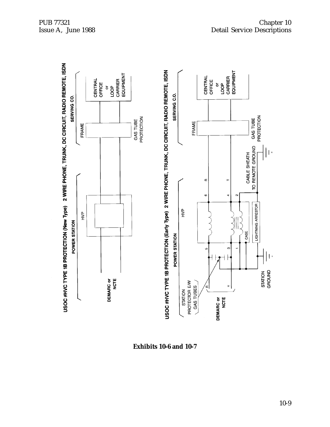

**Exhibits 10-6 and 10-7**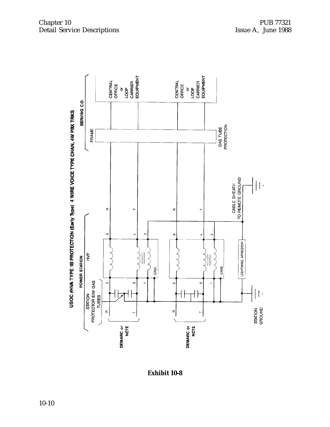

Chapter 10 PUB 77321 Detail Service Descriptions Issue A, June 1988

**Exhibit 10-8**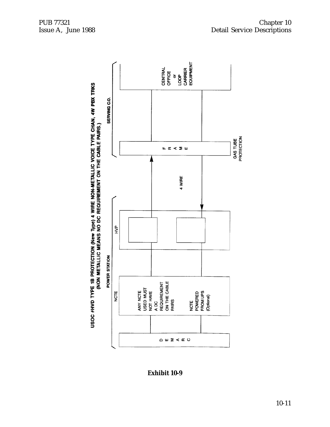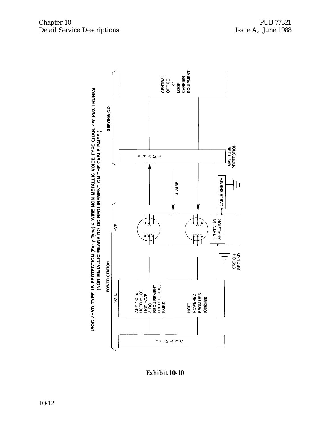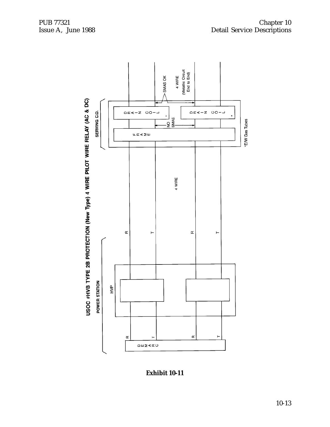

**Exhibit 10-11**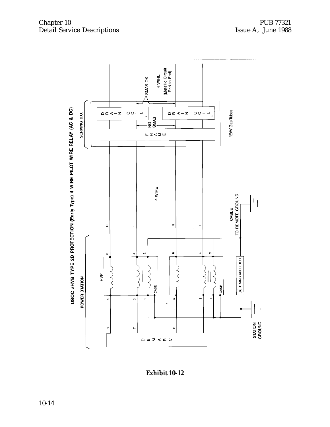#### Chapter 10 PUB 77321 Detail Service Descriptions Issue A, June 1988

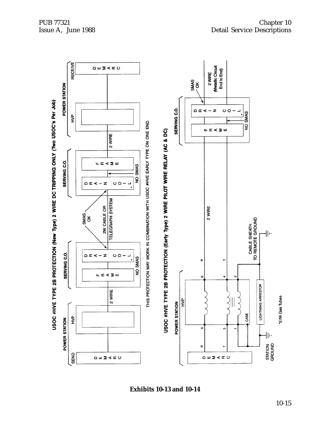

**Exhibits 10-13 and 10-14**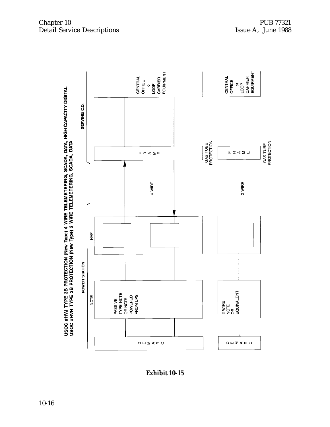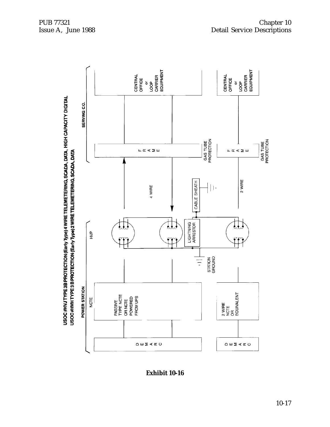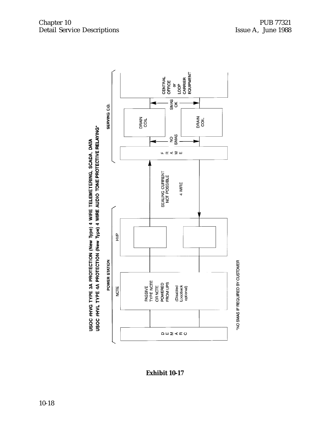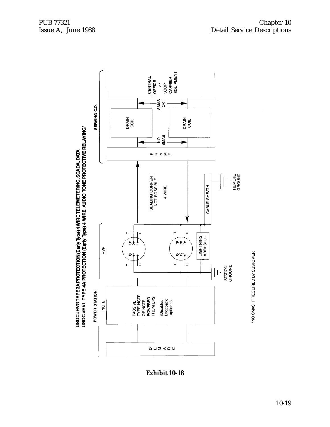

**Exhibit 10-18**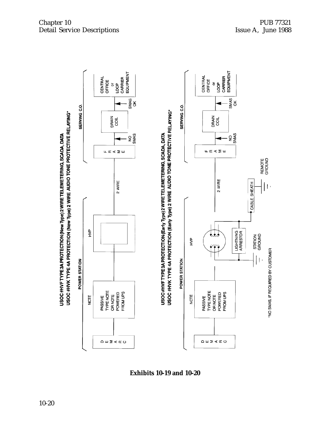

**Exhibits 10-19 and 10-20**